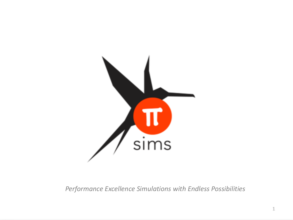

*Performance Excellence Simulations with Endless Possibilities*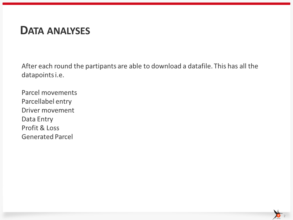### **DATA ANALYSES**

After each round the partipants are able to download a datafile. This has all the datapoints i.e.

Parcel movements Parcellabel entry Driver movement Data Entry Profit & Loss **Generated Parcel** 

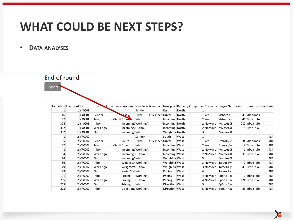### **WHAT COULD BE NEXT STEPS?**

### • **DATA ANALYSES**

End of round

Export

**Company** 

|     | Gametime Insert ord ID |          |              |                   |                     |          |                   |                 |       | Previous Previous s Previous ; New locat New secti New posit Delivery Astep of in Correctly (Player Na Duration Duration clead time |          |                  |                |     |
|-----|------------------------|----------|--------------|-------------------|---------------------|----------|-------------------|-----------------|-------|-------------------------------------------------------------------------------------------------------------------------------------|----------|------------------|----------------|-----|
|     |                        | 1 YK0001 |              |                   |                     | Sender   |                   | East            | North |                                                                                                                                     |          |                  |                |     |
| 46  |                        | 1 YK0001 | Sender       |                   | <u>Last</u>         | Truck    | truckSecti Driver |                 | North |                                                                                                                                     | 1 Yes    | Избасов Н        | 45 Idle time   |     |
| 87  |                        | 1 YK0001 | <b>Truck</b> | truckSecti Drive  |                     | Inbox    |                   | Incoming(North  |       |                                                                                                                                     | 2 Yes    | Избасов Н        | 41 Time in tri |     |
| 374 |                        | 1 YK0001 | Inbox        |                   | Incoming(WorkingA   |          |                   | Incoming(North  |       |                                                                                                                                     | 2 NoMove | Мысаев Ж         | 287 Inbox idle |     |
| 392 |                        | 1 YK0001 | WorkingA     |                   | Incoming(Outbox     |          |                   | Incoming(North  |       |                                                                                                                                     | 2 NoMove | Мысаев Я         | 18 Time in w   |     |
| 392 |                        | 1 YK0001 | Outbox       |                   | Incoming(Inbox      |          |                   | WeighStal North |       |                                                                                                                                     |          | Мысаев Н         |                |     |
|     |                        | 2 VF0002 |              |                   |                     | Sender   |                   | South           | West  |                                                                                                                                     |          |                  |                | 484 |
| 35  |                        | 2 VF0002 | Sender       |                   | South               | Truck    | truckSecti Driver |                 | West  |                                                                                                                                     | 1 Yes    | Стягов Де        | 34 Idle time   | 484 |
| 47  |                        | 2 VF0002 | <b>Truck</b> | truckSecti Driver |                     | Inbox    |                   | Incoming(West   |       |                                                                                                                                     | 2 Yes    | Стягов Де        | 12 Time in tri | 484 |
| 48  |                        | 2 VF0002 | <b>Inbox</b> |                   | Incoming(WorkingA   |          |                   | Incoming(West   |       |                                                                                                                                     | 2 NoMove | Мысаев Ж         | 1 Inbox idle   | 484 |
| 84  |                        | 2 VF0002 | WorkingA     |                   | Incoming(Outbox     |          |                   | Incoming(West   |       |                                                                                                                                     | 2 NoMove | Мысаев Н         | 36 Time in w   | 484 |
| 84  |                        | 2 VF0002 | Outbox       |                   | Incoming(Inbox      |          |                   | WeighStal West  |       |                                                                                                                                     |          | Мысаев Н         |                | 484 |
| 86  |                        | 2 VF0002 | <b>Inbox</b> |                   | WeighStal WorkingA  |          |                   | WeighStal West  |       |                                                                                                                                     | 3 NoMove | <b>Тагаев Ну</b> | 2 Inbox idle   | 484 |
| 129 |                        | 2 VF0002 | WorkingA     |                   | WeighStal Outbox    |          |                   | WeighStal West  |       |                                                                                                                                     | 3 NoMove | <b>Тагаев Ну</b> | 43 Time in w   | 484 |
| 129 |                        | 2 VF0002 | Outbox       |                   | WeighStalInbox      |          |                   | Pricing         | West  |                                                                                                                                     |          | Тагаев Ну        |                | 484 |
| 131 |                        | 2 VF0002 | Inbox        |                   | Pricing             | WorkingA |                   | Pricing         | West  |                                                                                                                                     | 4 NoMove | Ербол Ба»        | 2 Inbox idle   | 484 |
| 255 |                        | 2 VF0002 | WorkingA     |                   | Pricing             | Outbox   |                   | Pricing         | West  |                                                                                                                                     | 4 NoMove | Ербол Ба»        | 124 Time in w  | 484 |
| 255 |                        | 2 VF0002 | Outbox       |                   | Pricing             | Inbox    |                   | Directions West |       |                                                                                                                                     |          | Ербол Ба»        |                | 484 |
| 278 |                        | 2 VF0002 | <b>Inbox</b> |                   | Directions WorkingA |          |                   | Directions West |       |                                                                                                                                     | 5 NoMove | Берик Кад        | 23 Inbox idle  | 484 |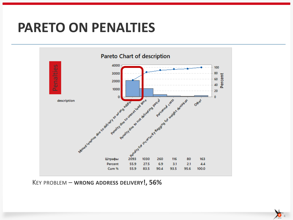### **PARETO ON PENALTIES**



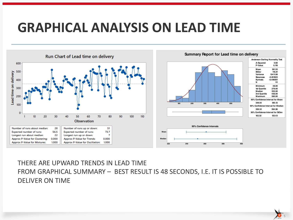# **GRAPHICAL ANALYSIS ON LEAD TIME**



### THERE ARE UPWARD TRENDS IN LEAD TIME FROM GRAPHICAL SUMMARY – BEST RESULT IS 48 SECONDS, I.E. IT IS POSSIBLE TO DELIVER ON TIME

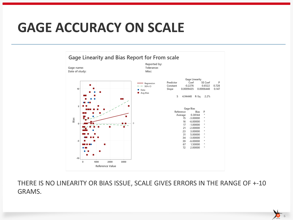# **GAGE ACCURACY ON SCALE**



THERE IS NO LINEARITY OR BIAS ISSUE, SCALE GIVES ERRORS IN THE RANGE OF +-10 GRAMS.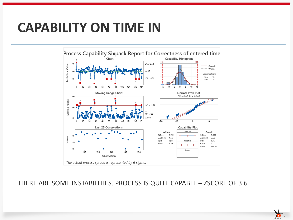## **CAPABILITY ON TIME IN**



### THERE ARE SOME INSTABILITIES. PROCESS IS QUITE CAPABLE – ZSCORE OF 3.6

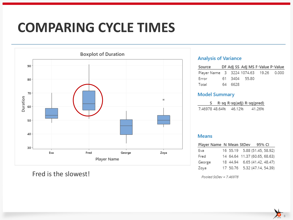# **COMPARING CYCLE TIMES**



Fred is the slowest!

### **Analysis of Variance**

| Source DF Adj SS Adj MS F-Value P-Value |         |  |  |
|-----------------------------------------|---------|--|--|
| Player Name 3 3224 1074.63 19.26 0.000  |         |  |  |
| Error 61 3404 55.80                     |         |  |  |
| Total                                   | 64 6628 |  |  |

#### **Model Summary**

|                |        | R-sq R-sq(adj) R-sq(pred) |
|----------------|--------|---------------------------|
| 7.46978 48.64% | 46.12% | 41.26%                    |

#### **Means**

| Player Name N Mean StDev 95% CI |  |                               |
|---------------------------------|--|-------------------------------|
| Eva                             |  | 16 55.19 5.88 (51.45, 58.92)  |
| Fred                            |  | 14 64.64 11.37 (60.65, 68.63) |
| George                          |  | 18 44.94 6.65 (41.42, 48.47)  |
| Zoya                            |  | 17 50.76 5.32 (47.14, 54.39)  |

Pooled StDev = 7.46978

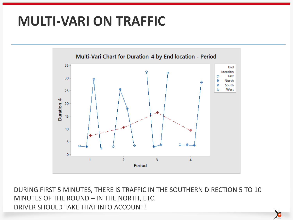# **MULTI-VARI ON TRAFFIC**



DURING FIRST 5 MINUTES, THERE IS TRAFFIC IN THE SOUTHERN DIRECTION 5 TO 10 MINUTES OF THE ROUND – IN THE NORTH, ETC. DRIVER SHOULD TAKE THAT INTO ACCOUNT!

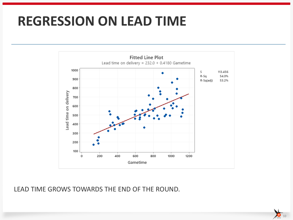## **REGRESSION ON LEAD TIME**



LEAD TIME GROWS TOWARDS THE END OF THE ROUND.

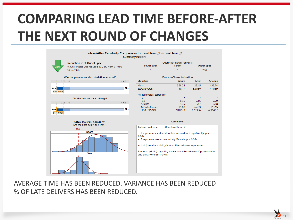# **COMPARING LEAD TIME BEFORE-AFTER THE NEXT ROUND OF CHANGES**



AVERAGE TIME HAS BEEN REDUCED. VARIANCE HAS BEEN REDUCED % OF LATE DELIVERS HAS BEEN REDUCED.